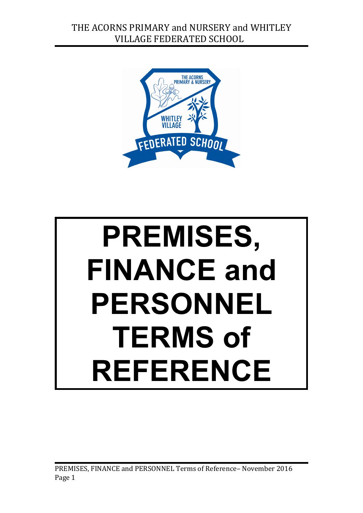

# **PREMISES, FINANCE and PERSONNEL TERMS of REFERENCE**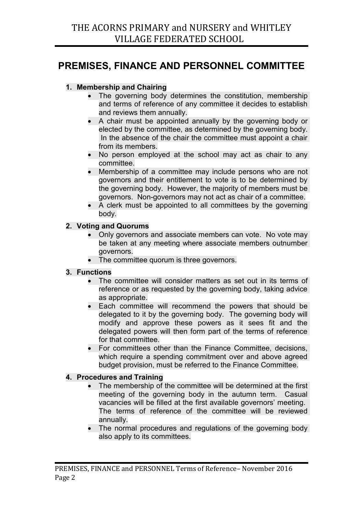# **PREMISES, FINANCE AND PERSONNEL COMMITTEE**

## **1. Membership and Chairing**

- The governing body determines the constitution, membership and terms of reference of any committee it decides to establish and reviews them annually.
- A chair must be appointed annually by the governing body or elected by the committee, as determined by the governing body. In the absence of the chair the committee must appoint a chair from its members.
- No person employed at the school may act as chair to any committee.
- Membership of a committee may include persons who are not governors and their entitlement to vote is to be determined by the governing body. However, the majority of members must be governors. Non-governors may not act as chair of a committee.
- A clerk must be appointed to all committees by the governing body.

### **2. Voting and Quorums**

- Only governors and associate members can vote. No vote may be taken at any meeting where associate members outnumber governors.
- The committee quorum is three governors.

### **3. Functions**

- The committee will consider matters as set out in its terms of reference or as requested by the governing body, taking advice as appropriate.
- Each committee will recommend the powers that should be delegated to it by the governing body. The governing body will modify and approve these powers as it sees fit and the delegated powers will then form part of the terms of reference for that committee.
- For committees other than the Finance Committee, decisions, which require a spending commitment over and above agreed budget provision, must be referred to the Finance Committee.

### **4. Procedures and Training**

- The membership of the committee will be determined at the first meeting of the governing body in the autumn term. Casual vacancies will be filled at the first available governors' meeting. The terms of reference of the committee will be reviewed annually.
- The normal procedures and regulations of the governing body also apply to its committees.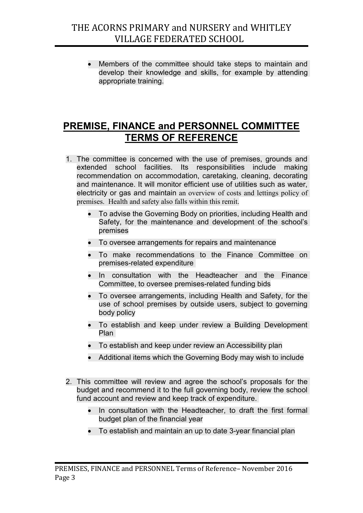Members of the committee should take steps to maintain and develop their knowledge and skills, for example by attending appropriate training.

# **PREMISE, FINANCE and PERSONNEL COMMITTEE TERMS OF REFERENCE**

- 1. The committee is concerned with the use of premises, grounds and extended school facilities. Its responsibilities include making recommendation on accommodation, caretaking, cleaning, decorating and maintenance. It will monitor efficient use of utilities such as water, electricity or gas and maintain an overview of costs and lettings policy of premises. Health and safety also falls within this remit.
	- To advise the Governing Body on priorities, including Health and Safety, for the maintenance and development of the school's premises
	- To oversee arrangements for repairs and maintenance
	- To make recommendations to the Finance Committee on premises-related expenditure
	- In consultation with the Headteacher and the Finance Committee, to oversee premises-related funding bids
	- To oversee arrangements, including Health and Safety, for the use of school premises by outside users, subject to governing body policy
	- To establish and keep under review a Building Development Plan
	- To establish and keep under review an Accessibility plan
	- Additional items which the Governing Body may wish to include
- 2. This committee will review and agree the school's proposals for the budget and recommend it to the full governing body, review the school fund account and review and keep track of expenditure.
	- In consultation with the Headteacher, to draft the first formal budget plan of the financial year
	- To establish and maintain an up to date 3-year financial plan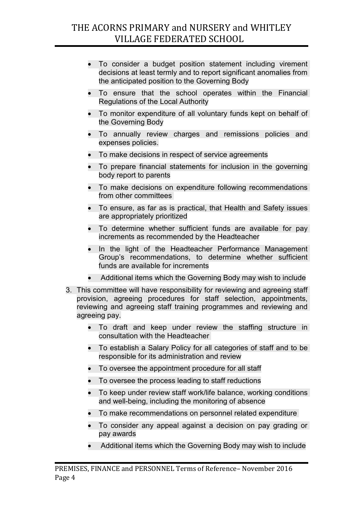- To consider a budget position statement including virement decisions at least termly and to report significant anomalies from the anticipated position to the Governing Body
- To ensure that the school operates within the Financial Regulations of the Local Authority
- To monitor expenditure of all voluntary funds kept on behalf of the Governing Body
- To annually review charges and remissions policies and expenses policies.
- To make decisions in respect of service agreements
- To prepare financial statements for inclusion in the governing body report to parents
- To make decisions on expenditure following recommendations from other committees
- To ensure, as far as is practical, that Health and Safety issues are appropriately prioritized
- To determine whether sufficient funds are available for pay increments as recommended by the Headteacher
- In the light of the Headteacher Performance Management Group's recommendations, to determine whether sufficient funds are available for increments
- Additional items which the Governing Body may wish to include
- 3. This committee will have responsibility for reviewing and agreeing staff provision, agreeing procedures for staff selection, appointments, reviewing and agreeing staff training programmes and reviewing and agreeing pay.
	- To draft and keep under review the staffing structure in consultation with the Headteacher
	- To establish a Salary Policy for all categories of staff and to be responsible for its administration and review
	- To oversee the appointment procedure for all staff
	- To oversee the process leading to staff reductions
	- To keep under review staff work/life balance, working conditions and well-being, including the monitoring of absence
	- To make recommendations on personnel related expenditure
	- To consider any appeal against a decision on pay grading or pay awards
	- Additional items which the Governing Body may wish to include